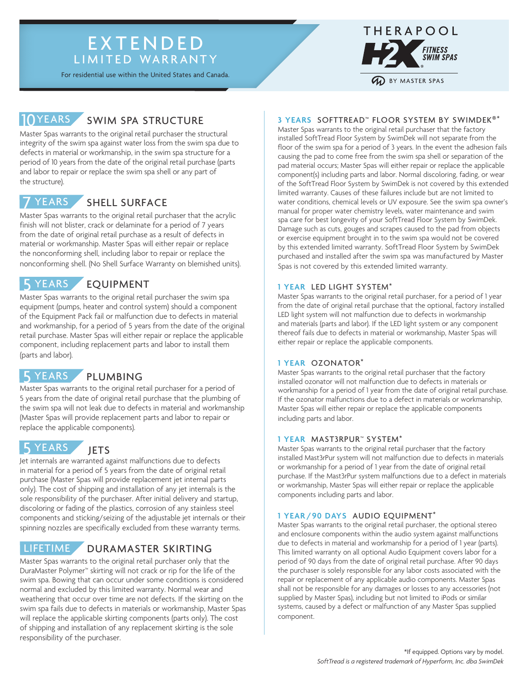### EXTENDED LIMITED WARRANTY

For residential use within the United States and Canada.

# 10YEARS SWIM SPA STRUCTURE

Master Spas warrants to the original retail purchaser the structural integrity of the swim spa against water loss from the swim spa due to defects in material or workmanship, in the swim spa structure for a period of 10 years from the date of the original retail purchase (parts and labor to repair or replace the swim spa shell or any part of the structure).

#### SHELL SURFACE **YEARS**

Master Spas warrants to the original retail purchaser that the acrylic finish will not blister, crack or delaminate for a period of 7 years from the date of original retail purchase as a result of defects in material or workmanship. Master Spas will either repair or replace the nonconforming shell, including labor to repair or replace the nonconforming shell. (No Shell Surface Warranty on blemished units).

# 5 YEARS EQUIPMENT

Master Spas warrants to the original retail purchaser the swim spa equipment (pumps, heater and control system) should a component of the Equipment Pack fail or malfunction due to defects in material and workmanship, for a period of 5 years from the date of the original retail purchase. Master Spas will either repair or replace the applicable component, including replacement parts and labor to install them (parts and labor).

# 5 YEARS PLUMBING

Master Spas warrants to the original retail purchaser for a period of 5 years from the date of original retail purchase that the plumbing of the swim spa will not leak due to defects in material and workmanship (Master Spas will provide replacement parts and labor to repair or replace the applicable components).

# 5 YEARS JETS

Jet internals are warranted against malfunctions due to defects in material for a period of 5 years from the date of original retail purchase (Master Spas will provide replacement jet internal parts only). The cost of shipping and installation of any jet internals is the sole responsibility of the purchaser. After initial delivery and startup, discoloring or fading of the plastics, corrosion of any stainless steel components and sticking/seizing of the adjustable jet internals or their spinning nozzles are specifically excluded from these warranty terms.

### LIFETIME DURAMASTER SKIRTING

Master Spas warrants to the original retail purchaser only that the DuraMaster Polymer™ skirting will not crack or rip for the life of the swim spa. Bowing that can occur under some conditions is considered normal and excluded by this limited warranty. Normal wear and weathering that occur over time are not defects. If the skirting on the swim spa fails due to defects in materials or workmanship, Master Spas will replace the applicable skirting components (parts only). The cost of shipping and installation of any replacement skirting is the sole responsibility of the purchaser.



### **3 YEARS** SOFTTREAD™ FLOOR SYSTEM BY SWIMDEK®\*

Master Spas warrants to the original retail purchaser that the factory installed SoftTread Floor System by SwimDek will not separate from the floor of the swim spa for a period of 3 years. In the event the adhesion fails causing the pad to come free from the swim spa shell or separation of the pad material occurs; Master Spas will either repair or replace the applicable component(s) including parts and labor. Normal discoloring, fading, or wear of the SoftTread Floor System by SwimDek is not covered by this extended limited warranty. Causes of these failures include but are not limited to water conditions, chemical levels or UV exposure. See the swim spa owner's manual for proper water chemistry levels, water maintenance and swim spa care for best longevity of your SoftTread Floor System by SwimDek. Damage such as cuts, gouges and scrapes caused to the pad from objects or exercise equipment brought in to the swim spa would not be covered by this extended limited warranty. SoftTread Floor System by SwimDek purchased and installed after the swim spa was manufactured by Master Spas is not covered by this extended limited warranty.

#### **1 YEAR** LED LIGHT SYSTEM\*

Master Spas warrants to the original retail purchaser, for a period of 1 year from the date of original retail purchase that the optional, factory installed LED light system will not malfunction due to defects in workmanship and materials (parts and labor). If the LED light system or any component thereof fails due to defects in material or workmanship, Master Spas will either repair or replace the applicable components.

#### **1 YEAR** OZONATOR\*

Master Spas warrants to the original retail purchaser that the factory installed ozonator will not malfunction due to defects in materials or workmanship for a period of 1 year from the date of original retail purchase. If the ozonator malfunctions due to a defect in materials or workmanship, Master Spas will either repair or replace the applicable components including parts and labor.

#### **1 YEAR** MAST3RPUR™ SYSTEM\*

Master Spas warrants to the original retail purchaser that the factory installed Mast3rPur system will not malfunction due to defects in materials or workmanship for a period of 1 year from the date of original retail purchase. If the Mast3rPur system malfunctions due to a defect in materials or workmanship, Master Spas will either repair or replace the applicable components including parts and labor.

#### **1 YEAR /90 DAYS** AUDIO EQUIPMENT\*

Master Spas warrants to the original retail purchaser, the optional stereo and enclosure components within the audio system against malfunctions due to defects in material and workmanship for a period of 1 year (parts). This limited warranty on all optional Audio Equipment covers labor for a period of 90 days from the date of original retail purchase. After 90 days the purchaser is solely responsible for any labor costs associated with the repair or replacement of any applicable audio components. Master Spas shall not be responsible for any damages or losses to any accessories (not supplied by Master Spas), including but not limited to iPods or similar systems, caused by a defect or malfunction of any Master Spas supplied component.